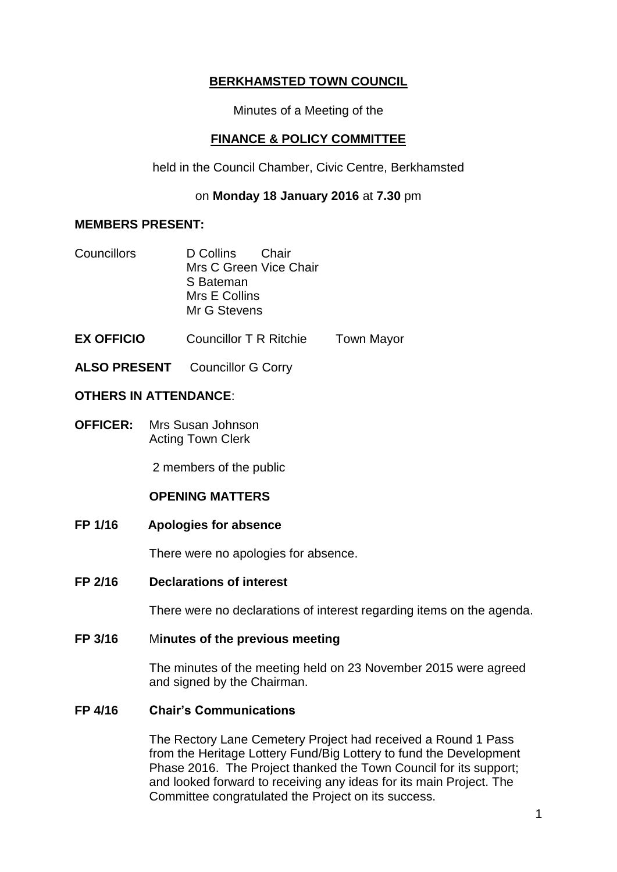# **BERKHAMSTED TOWN COUNCIL**

Minutes of a Meeting of the

## **FINANCE & POLICY COMMITTEE**

held in the Council Chamber, Civic Centre, Berkhamsted

### on **Monday 18 January 2016** at **7.30** pm

### **MEMBERS PRESENT:**

- Councillors D Collins Chair Mrs C Green Vice Chair S Bateman Mrs E Collins Mr G Stevens
- **EX OFFICIO** Councillor T R Ritchie Town Mayor
- **ALSO PRESENT** Councillor G Corry

### **OTHERS IN ATTENDANCE**:

**OFFICER:** Mrs Susan Johnson Acting Town Clerk

2 members of the public

### **OPENING MATTERS**

**FP 1/16 Apologies for absence**

There were no apologies for absence.

**FP 2/16 Declarations of interest**

There were no declarations of interest regarding items on the agenda.

#### **FP 3/16** M**inutes of the previous meeting**

The minutes of the meeting held on 23 November 2015 were agreed and signed by the Chairman.

### **FP 4/16 Chair's Communications**

The Rectory Lane Cemetery Project had received a Round 1 Pass from the Heritage Lottery Fund/Big Lottery to fund the Development Phase 2016. The Project thanked the Town Council for its support; and looked forward to receiving any ideas for its main Project. The Committee congratulated the Project on its success.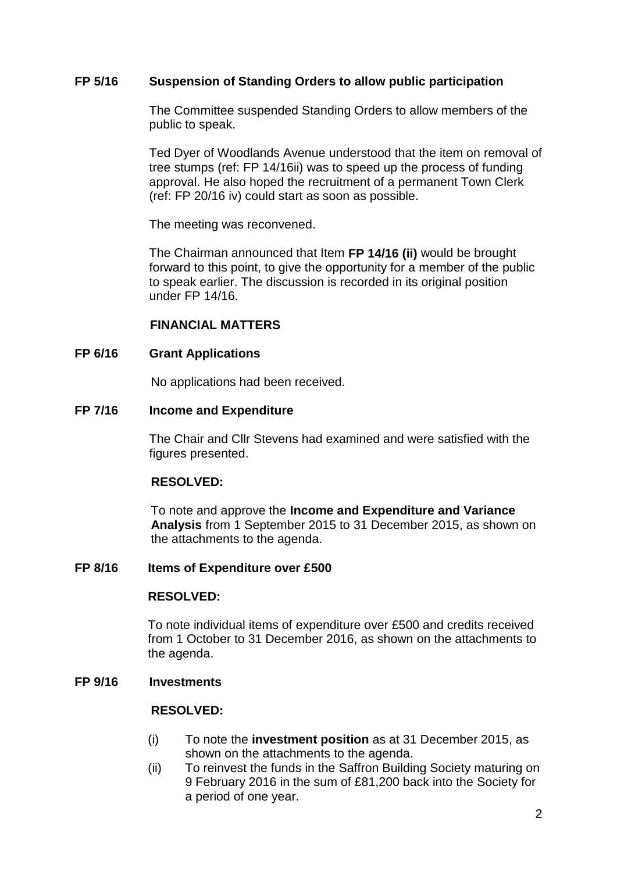### **FP 5/16 Suspension of Standing Orders to allow public participation**

The Committee suspended Standing Orders to allow members of the public to speak.

Ted Dyer of Woodlands Avenue understood that the item on removal of tree stumps (ref: FP 14/16ii) was to speed up the process of funding approval. He also hoped the recruitment of a permanent Town Clerk (ref: FP 20/16 iv) could start as soon as possible.

The meeting was reconvened.

The Chairman announced that Item **FP 14/16 (ii)** would be brought forward to this point, to give the opportunity for a member of the public to speak earlier. The discussion is recorded in its original position under FP 14/16.

#### **FINANCIAL MATTERS**

#### **FP 6/16 Grant Applications**

No applications had been received.

#### **FP 7/16 Income and Expenditure**

The Chair and Cllr Stevens had examined and were satisfied with the figures presented.

#### **RESOLVED:**

To note and approve the **Income and Expenditure and Variance Analysis** from 1 September 2015 to 31 December 2015, as shown on the attachments to the agenda.

#### **FP 8/16 Items of Expenditure over £500**

#### **RESOLVED:**

To note individual items of expenditure over £500 and credits received from 1 October to 31 December 2016, as shown on the attachments to the agenda.

#### **FP 9/16 Investments**

### **RESOLVED:**

- (i) To note the **investment position** as at 31 December 2015, as shown on the attachments to the agenda.
- (ii) To reinvest the funds in the Saffron Building Society maturing on 9 February 2016 in the sum of £81,200 back into the Society for a period of one year.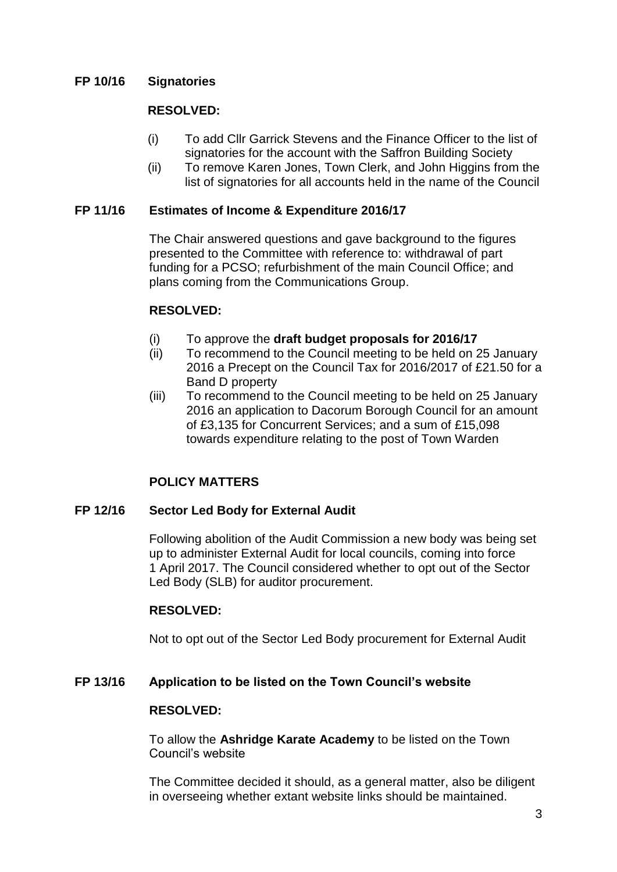### **FP 10/16 Signatories**

#### **RESOLVED:**

- (i) To add Cllr Garrick Stevens and the Finance Officer to the list of signatories for the account with the Saffron Building Society
- (ii) To remove Karen Jones, Town Clerk, and John Higgins from the list of signatories for all accounts held in the name of the Council

#### **FP 11/16 Estimates of Income & Expenditure 2016/17**

The Chair answered questions and gave background to the figures presented to the Committee with reference to: withdrawal of part funding for a PCSO; refurbishment of the main Council Office; and plans coming from the Communications Group.

#### **RESOLVED:**

- (i) To approve the **draft budget proposals for 2016/17**
- (ii) To recommend to the Council meeting to be held on 25 January 2016 a Precept on the Council Tax for 2016/2017 of £21.50 for a Band D property
- (iii) To recommend to the Council meeting to be held on 25 January 2016 an application to Dacorum Borough Council for an amount of £3,135 for Concurrent Services; and a sum of £15,098 towards expenditure relating to the post of Town Warden

## **POLICY MATTERS**

#### **FP 12/16 Sector Led Body for External Audit**

Following abolition of the Audit Commission a new body was being set up to administer External Audit for local councils, coming into force 1 April 2017. The Council considered whether to opt out of the Sector Led Body (SLB) for auditor procurement.

### **RESOLVED:**

Not to opt out of the Sector Led Body procurement for External Audit

#### **FP 13/16 Application to be listed on the Town Council's website**

#### **RESOLVED:**

To allow the **Ashridge Karate Academy** to be listed on the Town Council's website

The Committee decided it should, as a general matter, also be diligent in overseeing whether extant website links should be maintained.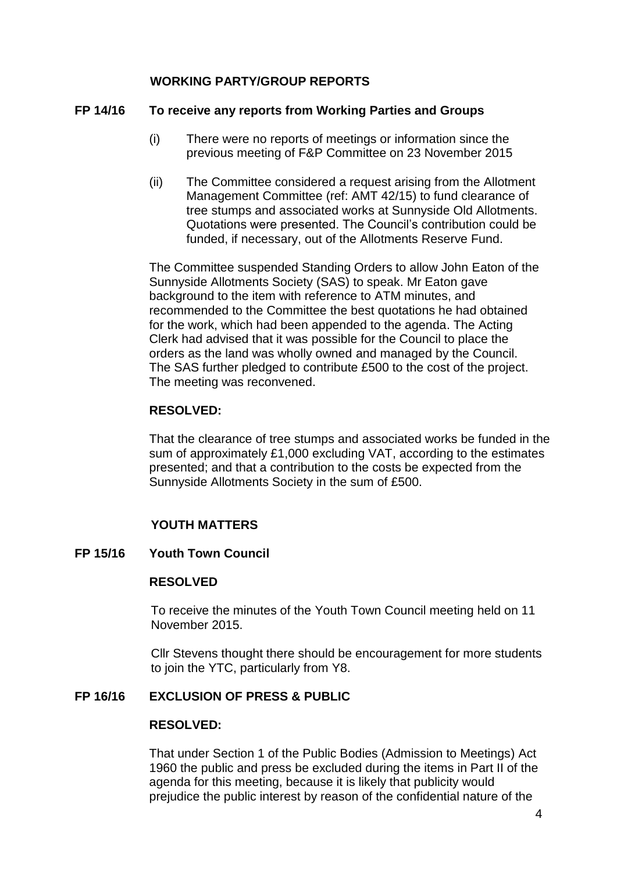## **WORKING PARTY/GROUP REPORTS**

#### **FP 14/16 To receive any reports from Working Parties and Groups**

- (i) There were no reports of meetings or information since the previous meeting of F&P Committee on 23 November 2015
- (ii) The Committee considered a request arising from the Allotment Management Committee (ref: AMT 42/15) to fund clearance of tree stumps and associated works at Sunnyside Old Allotments. Quotations were presented. The Council's contribution could be funded, if necessary, out of the Allotments Reserve Fund.

The Committee suspended Standing Orders to allow John Eaton of the Sunnyside Allotments Society (SAS) to speak. Mr Eaton gave background to the item with reference to ATM minutes, and recommended to the Committee the best quotations he had obtained for the work, which had been appended to the agenda. The Acting Clerk had advised that it was possible for the Council to place the orders as the land was wholly owned and managed by the Council. The SAS further pledged to contribute £500 to the cost of the project. The meeting was reconvened.

### **RESOLVED:**

That the clearance of tree stumps and associated works be funded in the sum of approximately £1,000 excluding VAT, according to the estimates presented; and that a contribution to the costs be expected from the Sunnyside Allotments Society in the sum of £500.

# **YOUTH MATTERS**

### **FP 15/16 Youth Town Council**

#### **RESOLVED**

To receive the minutes of the Youth Town Council meeting held on 11 November 2015.

Cllr Stevens thought there should be encouragement for more students to join the YTC, particularly from Y8.

### **FP 16/16 EXCLUSION OF PRESS & PUBLIC**

#### **RESOLVED:**

That under Section 1 of the Public Bodies (Admission to Meetings) Act 1960 the public and press be excluded during the items in Part II of the agenda for this meeting, because it is likely that publicity would prejudice the public interest by reason of the confidential nature of the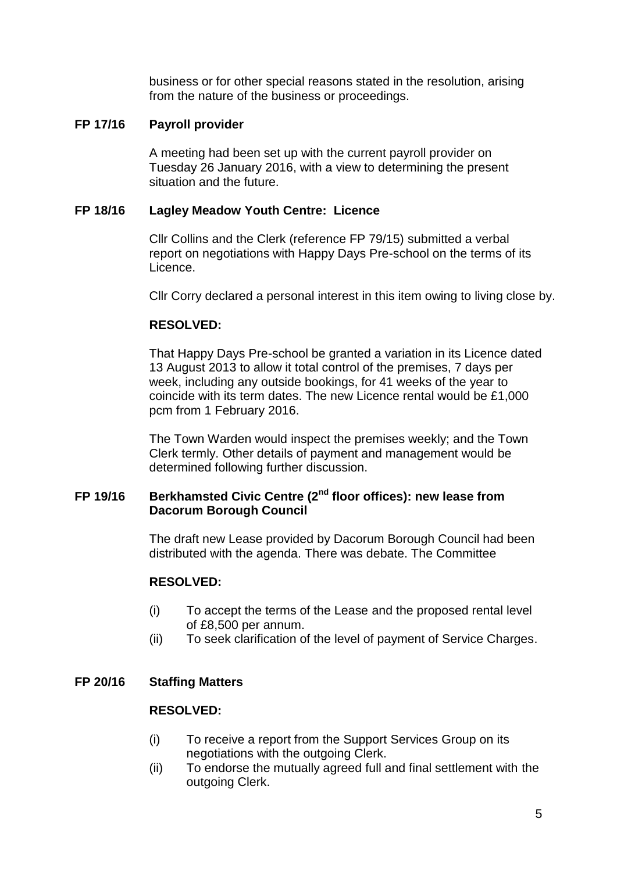business or for other special reasons stated in the resolution, arising from the nature of the business or proceedings.

## **FP 17/16 Payroll provider**

A meeting had been set up with the current payroll provider on Tuesday 26 January 2016, with a view to determining the present situation and the future.

## **FP 18/16 Lagley Meadow Youth Centre: Licence**

Cllr Collins and the Clerk (reference FP 79/15) submitted a verbal report on negotiations with Happy Days Pre-school on the terms of its Licence.

Cllr Corry declared a personal interest in this item owing to living close by.

## **RESOLVED:**

That Happy Days Pre-school be granted a variation in its Licence dated 13 August 2013 to allow it total control of the premises, 7 days per week, including any outside bookings, for 41 weeks of the year to coincide with its term dates. The new Licence rental would be £1,000 pcm from 1 February 2016.

The Town Warden would inspect the premises weekly; and the Town Clerk termly. Other details of payment and management would be determined following further discussion.

# **FP 19/16 Berkhamsted Civic Centre (2nd floor offices): new lease from Dacorum Borough Council**

The draft new Lease provided by Dacorum Borough Council had been distributed with the agenda. There was debate. The Committee

### **RESOLVED:**

- (i) To accept the terms of the Lease and the proposed rental level of £8,500 per annum.
- (ii) To seek clarification of the level of payment of Service Charges.

### **FP 20/16 Staffing Matters**

### **RESOLVED:**

- (i) To receive a report from the Support Services Group on its negotiations with the outgoing Clerk.
- (ii) To endorse the mutually agreed full and final settlement with the outgoing Clerk.